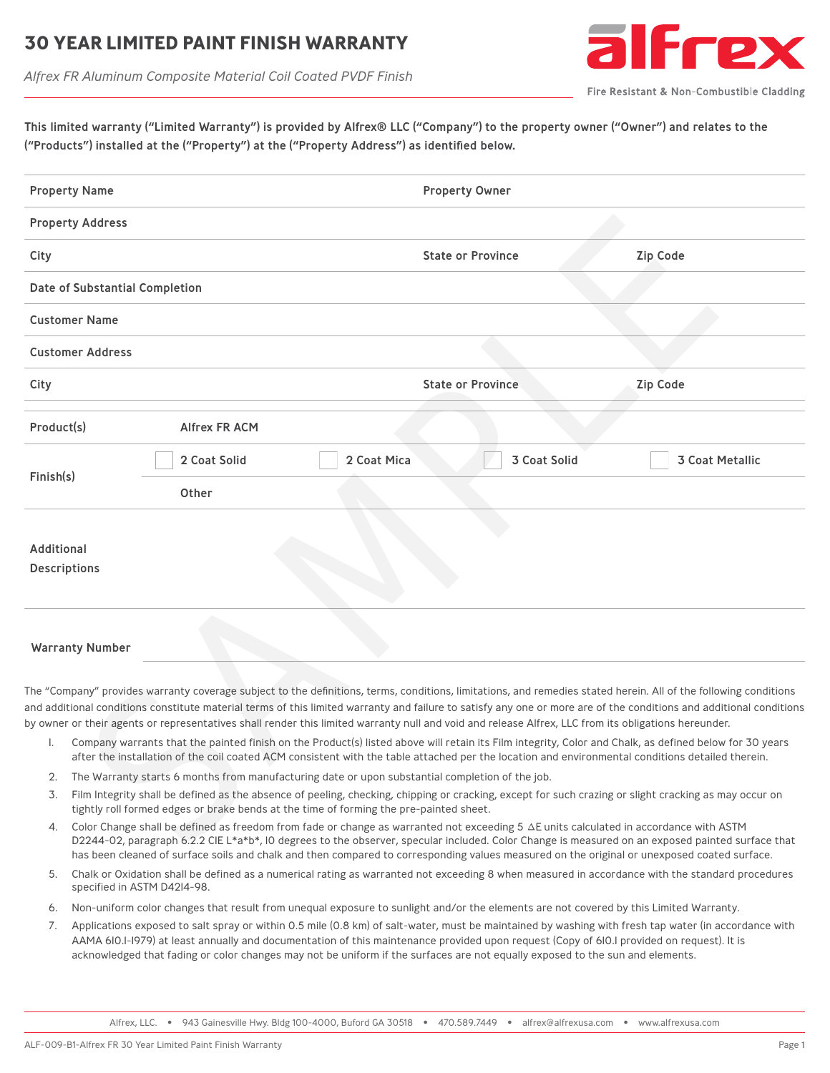#### **30 YEAR LIMITED PAINT FINISH WARRANT**





Fire Resistant & Non-Combustible Cladding

This limited warranty ("Limited Warranty") is provided by Alfrex® LLC ("Company") to the property owner ("Owner") and relates to the ("Products") installed at the ("Property") at the ("Property Address") as identified below.

| <b>Property Name</b>              |                                                                                                                                                                                                                                                                                                            |                                                                                                                                                      |                                             | <b>Property Owner</b>    |  |                                                                                                                                                                                                                                                                                                                                         |  |
|-----------------------------------|------------------------------------------------------------------------------------------------------------------------------------------------------------------------------------------------------------------------------------------------------------------------------------------------------------|------------------------------------------------------------------------------------------------------------------------------------------------------|---------------------------------------------|--------------------------|--|-----------------------------------------------------------------------------------------------------------------------------------------------------------------------------------------------------------------------------------------------------------------------------------------------------------------------------------------|--|
|                                   | <b>Property Address</b>                                                                                                                                                                                                                                                                                    |                                                                                                                                                      |                                             |                          |  |                                                                                                                                                                                                                                                                                                                                         |  |
| City                              |                                                                                                                                                                                                                                                                                                            |                                                                                                                                                      |                                             | <b>State or Province</b> |  | <b>Zip Code</b>                                                                                                                                                                                                                                                                                                                         |  |
|                                   | Date of Substantial Completion                                                                                                                                                                                                                                                                             |                                                                                                                                                      |                                             |                          |  |                                                                                                                                                                                                                                                                                                                                         |  |
|                                   | <b>Customer Name</b>                                                                                                                                                                                                                                                                                       |                                                                                                                                                      |                                             |                          |  |                                                                                                                                                                                                                                                                                                                                         |  |
|                                   | <b>Customer Address</b>                                                                                                                                                                                                                                                                                    |                                                                                                                                                      |                                             |                          |  |                                                                                                                                                                                                                                                                                                                                         |  |
| City                              |                                                                                                                                                                                                                                                                                                            |                                                                                                                                                      | <b>State or Province</b><br><b>Zip Code</b> |                          |  |                                                                                                                                                                                                                                                                                                                                         |  |
| Product(s)                        |                                                                                                                                                                                                                                                                                                            | <b>Alfrex FR ACM</b>                                                                                                                                 |                                             |                          |  |                                                                                                                                                                                                                                                                                                                                         |  |
|                                   |                                                                                                                                                                                                                                                                                                            | 2 Coat Solid                                                                                                                                         | 2 Coat Mica                                 | 3 Coat Solid             |  | <b>3 Coat Metallic</b>                                                                                                                                                                                                                                                                                                                  |  |
| Finish(s)                         |                                                                                                                                                                                                                                                                                                            | Other                                                                                                                                                |                                             |                          |  |                                                                                                                                                                                                                                                                                                                                         |  |
| Additional<br><b>Descriptions</b> |                                                                                                                                                                                                                                                                                                            |                                                                                                                                                      |                                             |                          |  |                                                                                                                                                                                                                                                                                                                                         |  |
|                                   | <b>Warranty Number</b>                                                                                                                                                                                                                                                                                     |                                                                                                                                                      |                                             |                          |  |                                                                                                                                                                                                                                                                                                                                         |  |
|                                   |                                                                                                                                                                                                                                                                                                            | by owner or their agents or representatives shall render this limited warranty null and void and release Alfrex, LLC from its obligations hereunder. |                                             |                          |  | The "Company" provides warranty coverage subject to the definitions, terms, conditions, limitations, and remedies stated herein. All of the following conditions<br>and additional conditions constitute material terms of this limited warranty and failure to satisfy any one or more are of the conditions and additional conditions |  |
| I.                                | Company warrants that the painted finish on the Product(s) listed above will retain its Film integrity, Color and Chalk, as defined below for 30 years<br>after the installation of the coil coated ACM consistent with the table attached per the location and environmental conditions detailed therein. |                                                                                                                                                      |                                             |                          |  |                                                                                                                                                                                                                                                                                                                                         |  |
| 2.                                | The Warranty starts 6 months from manufacturing date or upon substantial completion of the job.                                                                                                                                                                                                            |                                                                                                                                                      |                                             |                          |  |                                                                                                                                                                                                                                                                                                                                         |  |
| 3.                                | Film Integrity shall be defined as the absence of peeling, checking, chipping or cracking, except for such crazing or slight cracking as may occur on<br>tightly roll formed edges or brake bends at the time of forming the pre-painted sheet.                                                            |                                                                                                                                                      |                                             |                          |  |                                                                                                                                                                                                                                                                                                                                         |  |
| 4.                                | Color Change shall be defined as freedom from fade or change as warranted not exceeding 5 $\Delta$ E units calculated in accordance with ASTM<br>D2244-02, paragraph 6.2.2 CIE L*a*b*, IO degrees to the observer, specular included. Color Change is measured on an exposed painted surface that          |                                                                                                                                                      |                                             |                          |  |                                                                                                                                                                                                                                                                                                                                         |  |

#### Warranty Number

- 1. Company warrants that the painted finish on the Product(s) listed above will retain its Film integrity, Color and Chalk, as defined below for 30 years after the installation of the coil coated ACM consistent with the table attached per the location and environmental conditions detailed therein.
- 2. The Warranty starts 6 months from manufacturing date or upon substantial completion of the job.
- 3. Film Integrity shall be defined as the absence of peeling, checking, chipping or cracking, except for such crazing or slight cracking as may occur on tightly roll formed edges or brake bends at the time of forming the pre-painted sheet.
- 4. Color Change shall be defined as freedom from fade or change as warranted not exceeding 5 ∆E units calculated in accordance with ASTM D2244-02, paragraph 6.2.2 CIE L\*a\*b\*, IO degrees to the observer, specular included. Color Change is measured on an exposed painted surface that has been cleaned of surface soils and chalk and then compared to corresponding values measured on the original or unexposed coated surface.
- 5. Chalk or Oxidation shall be defined as a numerical rating as warranted not exceeding 8 when measured in accordance with the standard procedures specified in ASTM D4214-98.
- 6. Non-uniform color changes that result from unequal exposure to sunlight and/or the elements are not covered by this Limited Warranty.
- 7. Applications exposed to salt spray or within 0.5 mile (0.8 km) of salt-water, must be maintained by washing with fresh tap water (in accordance with AAMA 610.1-1979) at least annually and documentation of this maintenance provided upon request (Copy of 610.1 provided on request). It is acknowledged that fading or color changes may not be uniform if the surfaces are not equally exposed to the sun and elements.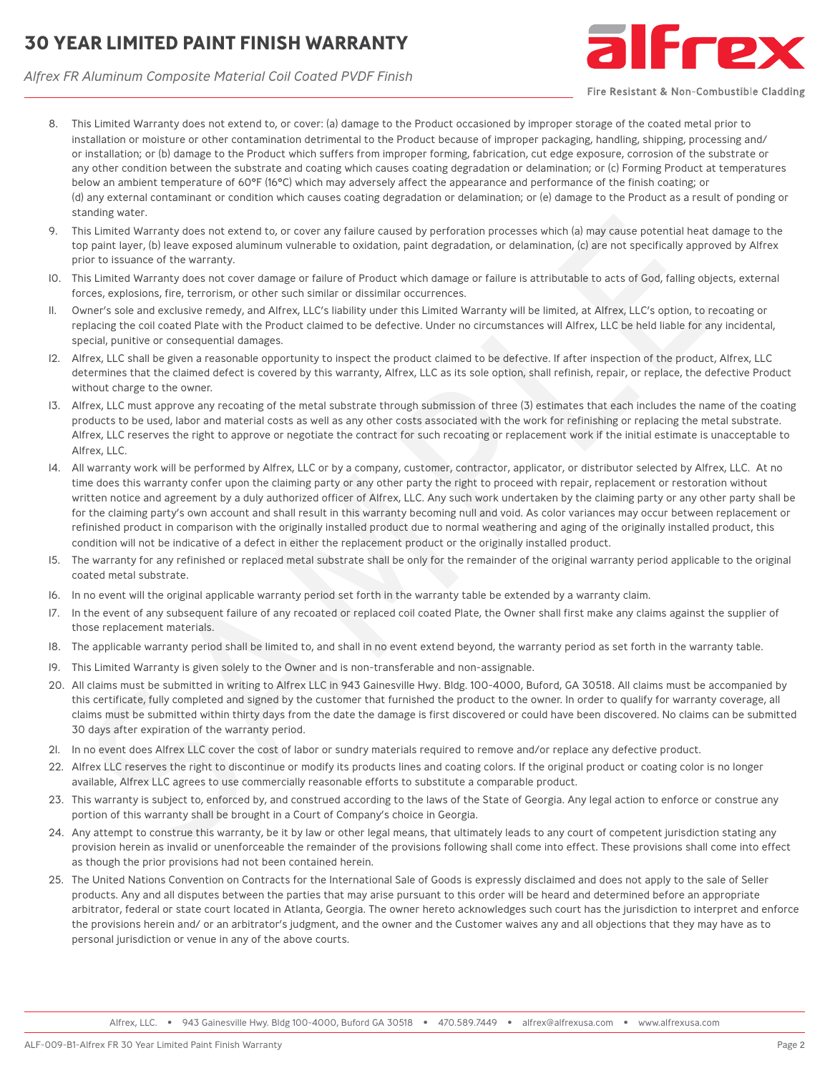# **30 YEAR LIMITED PAINT FINISH WARRANTY**



*Alfrex FR Aluminum Composite Material Coil Coated PVDF Finish*

Fire Resistant & Non-Combustible Cladding

- 8. This Limited Warranty does not extend to, or cover: (a) damage to the Product occasioned by improper storage of the coated metal prior to installation or moisture or other contamination detrimental to the Product because of improper packaging, handling, shipping, processing and/ or installation; or (b) damage to the Product which suffers from improper forming, fabrication, cut edge exposure, corrosion of the substrate or any other condition between the substrate and coating which causes coating degradation or delamination; or (c) Forming Product at temperatures below an ambient temperature of 60°F (16°C) which may adversely affect the appearance and performance of the finish coating; or (d) any external contaminant or condition which causes coating degradation or delamination; or (e) damage to the Product as a result of ponding or standing water.
- 9. This Limited Warranty does not extend to, or cover any failure caused by perforation processes which (a) may cause potential heat damage to the top paint layer, (b) leave exposed aluminum vulnerable to oxidation, paint degradation, or delamination, (c) are not specifically approved by Alfrex prior to issuance of the warranty.
- 10. This Limited Warranty does not cover damage or failure of Product which damage or failure is attributable to acts of God, falling objects, external forces, explosions, fire, terrorism, or other such similar or dissimilar occurrences.
- 11. Owner's sole and exclusive remedy, and Alfrex, LLC's liability under this Limited Warranty will be limited, at Alfrex, LLC's option, to recoating or replacing the coil coated Plate with the Product claimed to be defective. Under no circumstances will Alfrex, LLC be held liable for any incidental, special, punitive or consequential damages.
- 12. Alfrex, LLC shall be given a reasonable opportunity to inspect the product claimed to be defective. If after inspection of the product, Alfrex, LLC determines that the claimed defect is covered by this warranty, Alfrex, LLC as its sole option, shall refinish, repair, or replace, the defective Product without charge to the owner.
- 13. Alfrex, LLC must approve any recoating of the metal substrate through submission of three (3) estimates that each includes the name of the coating products to be used, labor and material costs as well as any other costs associated with the work for refinishing or replacing the metal substrate. Alfrex, LLC reserves the right to approve or negotiate the contract for such recoating or replacement work if the initial estimate is unacceptable to Alfrex, LLC.
- 14. All warranty work will be performed by Alfrex, LLC or by a company, customer, contractor, applicator, or distributor selected by Alfrex, LLC. At no time does this warranty confer upon the claiming party or any other party the right to proceed with repair, replacement or restoration without written notice and agreement by a duly authorized officer of Alfrex, LLC. Any such work undertaken by the claiming party or any other party shall be for the claiming party's own account and shall result in this warranty becoming null and void. As color variances may occur between replacement or refinished product in comparison with the originally installed product due to normal weathering and aging of the originally installed product, this condition will not be indicative of a defect in either the replacement product or the originally installed product. onding water.<br>In Limited Warranty does mot estend to, or cover any failure caused by perforsion processes which (a) may causi potential heat to particular, (a) are not appear by particular, (b) are not appear by particular
- 15. The warranty for any refinished or replaced metal substrate shall be only for the remainder of the original warranty period applicable to the original coated metal substrate.
- 16. In no event will the original applicable warranty period set forth in the warranty table be extended by a warranty claim.
- 17. In the event of any subsequent failure of any recoated or replaced coil coated Plate, the Owner shall first make any claims against the supplier of those replacement materials.
- 18. The applicable warranty period shall be limited to, and shall in no event extend beyond, the warranty period as set forth in the warranty table.
- 19. This Limited Warranty is given solely to the Owner and is non-transferable and non-assignable.
- 20. All claims must be submitted in writing to Alfrex LLC in 943 Gainesville Hwy. Bldg. 100-4000, Buford, GA 30518. All claims must be accompanied by this certificate, fully completed and signed by the customer that furnished the product to the owner. In order to qualify for warranty coverage, all claims must be submitted within thirty days from the date the damage is first discovered or could have been discovered. No claims can be submitted 30 days after expiration of the warranty period.
- 21. In no event does Alfrex LLC cover the cost of labor or sundry materials required to remove and/or replace any defective product.
- 22. Alfrex LLC reserves the right to discontinue or modify its products lines and coating colors. If the original product or coating color is no longer available, Alfrex LLC agrees to use commercially reasonable efforts to substitute a comparable product.
- 23. This warranty is subject to, enforced by, and construed according to the laws of the State of Georgia. Any legal action to enforce or construe any portion of this warranty shall be brought in a Court of Company's choice in Georgia.
- 24. Any attempt to construe this warranty, be it by law or other legal means, that ultimately leads to any court of competent jurisdiction stating any provision herein as invalid or unenforceable the remainder of the provisions following shall come into effect. These provisions shall come into effect as though the prior provisions had not been contained herein.
- 25. The United Nations Convention on Contracts for the International Sale of Goods is expressly disclaimed and does not apply to the sale of Seller products. Any and all disputes between the parties that may arise pursuant to this order will be heard and determined before an appropriate arbitrator, federal or state court located in Atlanta, Georgia. The owner hereto acknowledges such court has the jurisdiction to interpret and enforce the provisions herein and/ or an arbitrator's judgment, and the owner and the Customer waives any and all objections that they may have as to personal jurisdiction or venue in any of the above courts.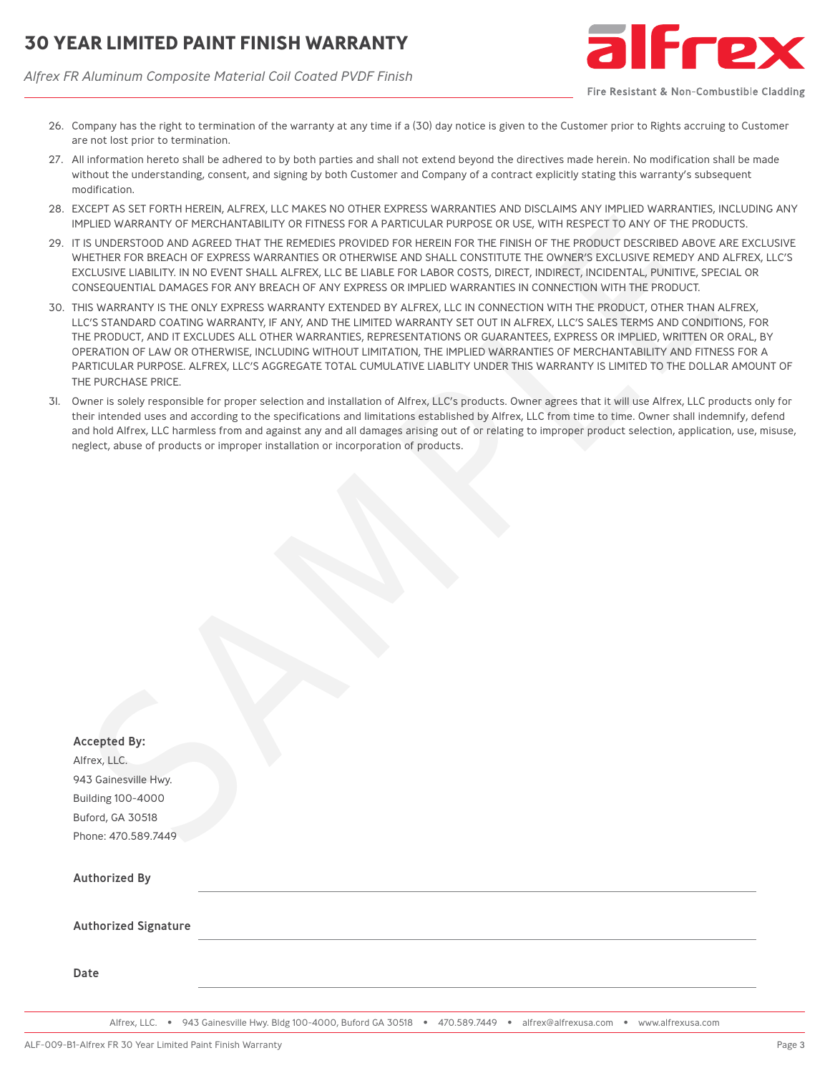# **30 YEAR LIMITED PAINT FINISH WARRANTY**

*Alfrex FR Aluminum Composite Material Coil Coated PVDF Finish*



Fire Resistant & Non-Combustible Cladding

- 26. Company has the right to termination of the warranty at any time if a (30) day notice is given to the Customer prior to Rights accruing to Customer are not lost prior to termination.
- 27. All information hereto shall be adhered to by both parties and shall not extend beyond the directives made herein. No modification shall be made without the understanding, consent, and signing by both Customer and Company of a contract explicitly stating this warranty's subsequent modification.
- 28. EXCEPT AS SET FORTH HEREIN, ALFREX, LLC MAKES NO OTHER EXPRESS WARRANTIES AND DISCLAIMS ANY IMPLIED WARRANTIES, INCLUDING ANY IMPLIED WARRANTY OF MERCHANTABILITY OR FITNESS FOR A PARTICULAR PURPOSE OR USE, WITH RESPECT TO ANY OF THE PRODUCTS.
- 29. IT IS UNDERSTOOD AND AGREED THAT THE REMEDIES PROVIDED FOR HEREIN FOR THE FINISH OF THE PRODUCT DESCRIBED ABOVE ARE EXCLUSIVE WHETHER FOR BREACH OF EXPRESS WARRANTIES OR OTHERWISE AND SHALL CONSTITUTE THE OWNER'S EXCLUSIVE REMEDY AND ALFREX, LLC'S EXCLUSIVE LIABILITY. IN NO EVENT SHALL ALFREX, LLC BE LIABLE FOR LABOR COSTS, DIRECT, INDIRECT, INCIDENTAL, PUNITIVE, SPECIAL OR CONSEQUENTIAL DAMAGES FOR ANY BREACH OF ANY EXPRESS OR IMPLIED WARRANTIES IN CONNECTION WITH THE PRODUCT.
- 30. THIS WARRANTY IS THE ONLY EXPRESS WARRANTY EXTENDED BY ALFREX, LLC IN CONNECTION WITH THE PRODUCT, OTHER THAN ALFREX, LLC'S STANDARD COATING WARRANTY, IF ANY, AND THE LIMITED WARRANTY SET OUT IN ALFREX, LLC'S SALES TERMS AND CONDITIONS, FOR THE PRODUCT, AND IT EXCLUDES ALL OTHER WARRANTIES, REPRESENTATIONS OR GUARANTEES, EXPRESS OR IMPLIED, WRITTEN OR ORAL, BY OPERATION OF LAW OR OTHERWISE, INCLUDING WITHOUT LIMITATION, THE IMPLIED WARRANTIES OF MERCHANTABILITY AND FITNESS FOR A PARTICULAR PURPOSE. ALFREX, LLC'S AGGREGATE TOTAL CUMULATIVE LIABLITY UNDER THIS WARRANTY IS LIMITED TO THE DOLLAR AMOUNT OF THE PURCHASE PRICE.
- 31. Owner is solely responsible for proper selection and installation of Alfrex, LLC's products. Owner agrees that it will use Alfrex, LLC products only for their intended uses and according to the specifications and limitations established by Alfrex, LLC from time to time. Owner shall indemnify, defend and hold Alfrex, LLC harmless from and against any and all damages arising out of or relating to improper product selection, application, use, misuse, neglect, abuse of products or improper installation or incorporation of products.

|                             | EXCEPT AS SET FORTH HEREIN, ALFREX, LLC MAKES NO OTHER EXPRESS WARRANTIES AND DISCLAIMS ANY IMPLIED WARRANTIES, INCLUDIN<br>IMPLIED WARRANTY OF MERCHANTABILITY OR FITNESS FOR A PARTICULAR PURPOSE OR USE, WITH RESPECT TO ANY OF THE PRODUCTS.                                                                                                                                                                                                                                                                                                                                                                                    |
|-----------------------------|-------------------------------------------------------------------------------------------------------------------------------------------------------------------------------------------------------------------------------------------------------------------------------------------------------------------------------------------------------------------------------------------------------------------------------------------------------------------------------------------------------------------------------------------------------------------------------------------------------------------------------------|
|                             | IT IS UNDERSTOOD AND AGREED THAT THE REMEDIES PROVIDED FOR HEREIN FOR THE FINISH OF THE PRODUCT DESCRIBED ABOVE ARE EXCI<br>WHETHER FOR BREACH OF EXPRESS WARRANTIES OR OTHERWISE AND SHALL CONSTITUTE THE OWNER'S EXCLUSIVE REMEDY AND ALFREX,<br>EXCLUSIVE LIABILITY. IN NO EVENT SHALL ALFREX, LLC BE LIABLE FOR LABOR COSTS, DIRECT, INDIRECT, INCIDENTAL, PUNITIVE, SPECIAL OR<br>CONSEQUENTIAL DAMAGES FOR ANY BREACH OF ANY EXPRESS OR IMPLIED WARRANTIES IN CONNECTION WITH THE PRODUCT.                                                                                                                                    |
| THE PURCHASE PRICE.         | THIS WARRANTY IS THE ONLY EXPRESS WARRANTY EXTENDED BY ALFREX, LLC IN CONNECTION WITH THE PRODUCT, OTHER THAN ALFREX,<br>LLC'S STANDARD COATING WARRANTY, IF ANY, AND THE LIMITED WARRANTY SET OUT IN ALFREX, LLC'S SALES TERMS AND CONDITIONS, FO<br>THE PRODUCT, AND IT EXCLUDES ALL OTHER WARRANTIES, REPRESENTATIONS OR GUARANTEES, EXPRESS OR IMPLIED, WRITTEN OR ORAL, E<br>OPERATION OF LAW OR OTHERWISE, INCLUDING WITHOUT LIMITATION, THE IMPLIED WARRANTIES OF MERCHANTABILITY AND FITNESS FOR<br>PARTICULAR PURPOSE. ALFREX, LLC'S AGGREGATE TOTAL CUMULATIVE LIABLITY UNDER THIS WARRANTY IS LIMITED TO THE DOLLAR AMOU |
|                             | Owner is solely responsible for proper selection and installation of Alfrex, LLC's products. Owner agrees that it will use Alfrex, LLC products or<br>their intended uses and according to the specifications and limitations established by Alfrex, LLC from time to time. Owner shall indemnify, de<br>and hold Alfrex, LLC harmless from and against any and all damages arising out of or relating to improper product selection, application, use, r<br>neglect, abuse of products or improper installation or incorporation of products.                                                                                      |
|                             |                                                                                                                                                                                                                                                                                                                                                                                                                                                                                                                                                                                                                                     |
|                             |                                                                                                                                                                                                                                                                                                                                                                                                                                                                                                                                                                                                                                     |
|                             |                                                                                                                                                                                                                                                                                                                                                                                                                                                                                                                                                                                                                                     |
|                             |                                                                                                                                                                                                                                                                                                                                                                                                                                                                                                                                                                                                                                     |
|                             |                                                                                                                                                                                                                                                                                                                                                                                                                                                                                                                                                                                                                                     |
|                             |                                                                                                                                                                                                                                                                                                                                                                                                                                                                                                                                                                                                                                     |
|                             |                                                                                                                                                                                                                                                                                                                                                                                                                                                                                                                                                                                                                                     |
| <b>Accepted By:</b>         |                                                                                                                                                                                                                                                                                                                                                                                                                                                                                                                                                                                                                                     |
| Alfrex, LLC.                |                                                                                                                                                                                                                                                                                                                                                                                                                                                                                                                                                                                                                                     |
| 943 Gainesville Hwy.        |                                                                                                                                                                                                                                                                                                                                                                                                                                                                                                                                                                                                                                     |
| <b>Building 100-4000</b>    |                                                                                                                                                                                                                                                                                                                                                                                                                                                                                                                                                                                                                                     |
| Buford, GA 30518            |                                                                                                                                                                                                                                                                                                                                                                                                                                                                                                                                                                                                                                     |
| Phone: 470.589.7449         |                                                                                                                                                                                                                                                                                                                                                                                                                                                                                                                                                                                                                                     |
| <b>Authorized By</b>        |                                                                                                                                                                                                                                                                                                                                                                                                                                                                                                                                                                                                                                     |
|                             |                                                                                                                                                                                                                                                                                                                                                                                                                                                                                                                                                                                                                                     |
| <b>Authorized Signature</b> |                                                                                                                                                                                                                                                                                                                                                                                                                                                                                                                                                                                                                                     |
| Date                        |                                                                                                                                                                                                                                                                                                                                                                                                                                                                                                                                                                                                                                     |
|                             |                                                                                                                                                                                                                                                                                                                                                                                                                                                                                                                                                                                                                                     |

Alfrex, LLC. • 943 Gainesville Hwy. Bldg 100-4000, Buford GA 30518 • 470.589.7449 • alfrex@alfrexusa.com • www.alfrexusa.com